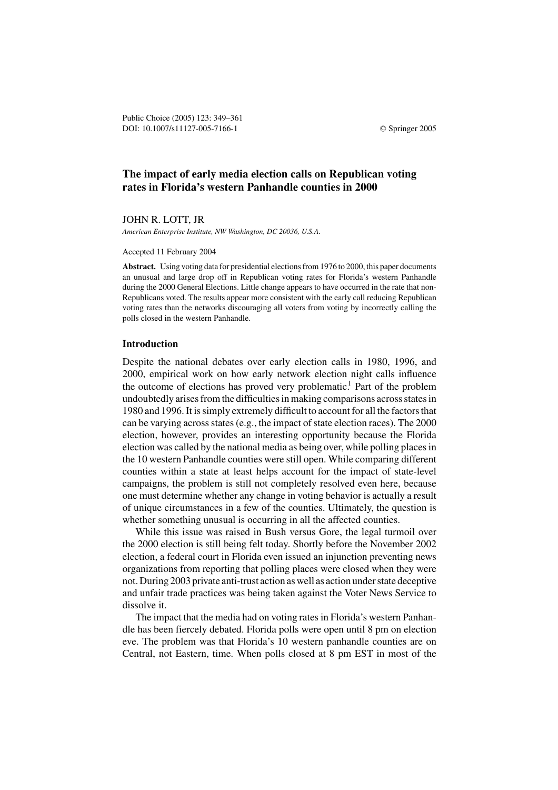Public Choice (2005) 123: 349–361 DOI: 10.1007/s11127-005-7166-1 © Springer 2005

# **The impact of early media election calls on Republican voting rates in Florida's western Panhandle counties in 2000**

JOHN R. LOTT, JR

*American Enterprise Institute, NW Washington, DC 20036, U.S.A.*

Accepted 11 February 2004

**Abstract.** Using voting data for presidential elections from 1976 to 2000, this paper documents an unusual and large drop off in Republican voting rates for Florida's western Panhandle during the 2000 General Elections. Little change appears to have occurred in the rate that non-Republicans voted. The results appear more consistent with the early call reducing Republican voting rates than the networks discouraging all voters from voting by incorrectly calling the polls closed in the western Panhandle.

### **Introduction**

Despite the national debates over early election calls in 1980, 1996, and 2000, empirical work on how early network election night calls influence the outcome of elections has proved very problematic.<sup>1</sup> Part of the problem undoubtedly arises from the difficulties in making comparisons across states in 1980 and 1996. It is simply extremely difficult to account for all the factors that can be varying across states (e.g., the impact of state election races). The 2000 election, however, provides an interesting opportunity because the Florida election was called by the national media as being over, while polling places in the 10 western Panhandle counties were still open. While comparing different counties within a state at least helps account for the impact of state-level campaigns, the problem is still not completely resolved even here, because one must determine whether any change in voting behavior is actually a result of unique circumstances in a few of the counties. Ultimately, the question is whether something unusual is occurring in all the affected counties.

While this issue was raised in Bush versus Gore, the legal turmoil over the 2000 election is still being felt today. Shortly before the November 2002 election, a federal court in Florida even issued an injunction preventing news organizations from reporting that polling places were closed when they were not. During 2003 private anti-trust action as well as action under state deceptive and unfair trade practices was being taken against the Voter News Service to dissolve it.

The impact that the media had on voting rates in Florida's western Panhandle has been fiercely debated. Florida polls were open until 8 pm on election eve. The problem was that Florida's 10 western panhandle counties are on Central, not Eastern, time. When polls closed at 8 pm EST in most of the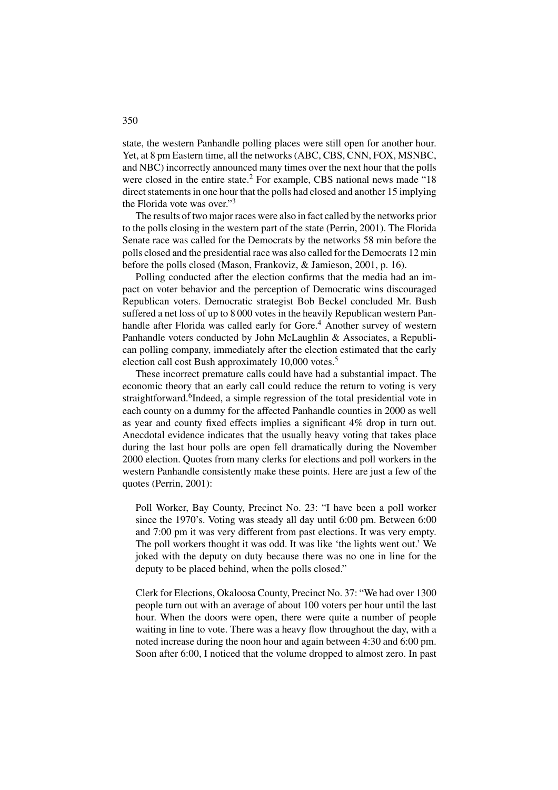state, the western Panhandle polling places were still open for another hour. Yet, at 8 pm Eastern time, all the networks (ABC, CBS, CNN, FOX, MSNBC, and NBC) incorrectly announced many times over the next hour that the polls were closed in the entire state.<sup>2</sup> For example, CBS national news made "18 direct statements in one hour that the polls had closed and another 15 implying the Florida vote was over."<sup>3</sup>

The results of two major races were also in fact called by the networks prior to the polls closing in the western part of the state (Perrin, 2001). The Florida Senate race was called for the Democrats by the networks 58 min before the polls closed and the presidential race was also called for the Democrats 12 min before the polls closed (Mason, Frankoviz, & Jamieson, 2001, p. 16).

Polling conducted after the election confirms that the media had an impact on voter behavior and the perception of Democratic wins discouraged Republican voters. Democratic strategist Bob Beckel concluded Mr. Bush suffered a net loss of up to 8 000 votes in the heavily Republican western Panhandle after Florida was called early for Gore.<sup>4</sup> Another survey of western Panhandle voters conducted by John McLaughlin & Associates, a Republican polling company, immediately after the election estimated that the early election call cost Bush approximately 10,000 votes.<sup>5</sup>

These incorrect premature calls could have had a substantial impact. The economic theory that an early call could reduce the return to voting is very straightforward.<sup>6</sup>Indeed, a simple regression of the total presidential vote in each county on a dummy for the affected Panhandle counties in 2000 as well as year and county fixed effects implies a significant 4% drop in turn out. Anecdotal evidence indicates that the usually heavy voting that takes place during the last hour polls are open fell dramatically during the November 2000 election. Quotes from many clerks for elections and poll workers in the western Panhandle consistently make these points. Here are just a few of the quotes (Perrin, 2001):

Poll Worker, Bay County, Precinct No. 23: "I have been a poll worker since the 1970's. Voting was steady all day until 6:00 pm. Between 6:00 and 7:00 pm it was very different from past elections. It was very empty. The poll workers thought it was odd. It was like 'the lights went out.' We joked with the deputy on duty because there was no one in line for the deputy to be placed behind, when the polls closed."

Clerk for Elections, Okaloosa County, Precinct No. 37: "We had over 1300 people turn out with an average of about 100 voters per hour until the last hour. When the doors were open, there were quite a number of people waiting in line to vote. There was a heavy flow throughout the day, with a noted increase during the noon hour and again between 4:30 and 6:00 pm. Soon after 6:00, I noticed that the volume dropped to almost zero. In past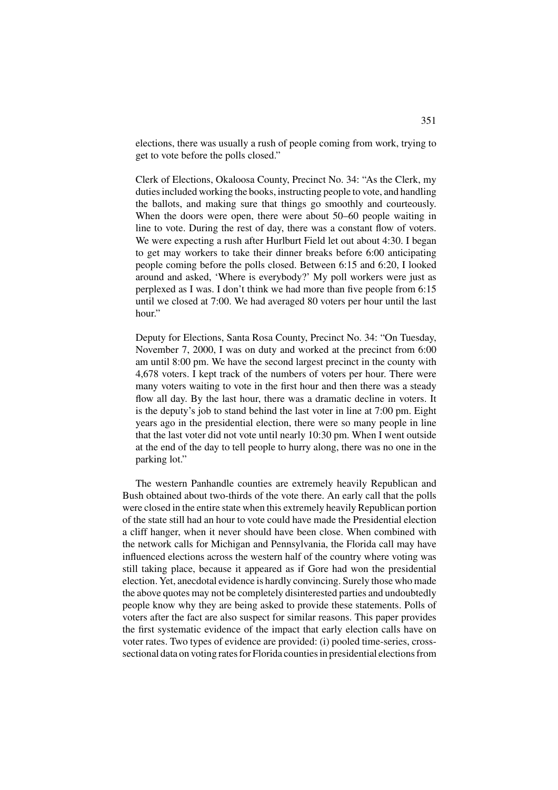elections, there was usually a rush of people coming from work, trying to get to vote before the polls closed."

Clerk of Elections, Okaloosa County, Precinct No. 34: "As the Clerk, my duties included working the books, instructing people to vote, and handling the ballots, and making sure that things go smoothly and courteously. When the doors were open, there were about 50–60 people waiting in line to vote. During the rest of day, there was a constant flow of voters. We were expecting a rush after Hurlburt Field let out about 4:30. I began to get may workers to take their dinner breaks before 6:00 anticipating people coming before the polls closed. Between 6:15 and 6:20, I looked around and asked, 'Where is everybody?' My poll workers were just as perplexed as I was. I don't think we had more than five people from 6:15 until we closed at 7:00. We had averaged 80 voters per hour until the last hour."

Deputy for Elections, Santa Rosa County, Precinct No. 34: "On Tuesday, November 7, 2000, I was on duty and worked at the precinct from 6:00 am until 8:00 pm. We have the second largest precinct in the county with 4,678 voters. I kept track of the numbers of voters per hour. There were many voters waiting to vote in the first hour and then there was a steady flow all day. By the last hour, there was a dramatic decline in voters. It is the deputy's job to stand behind the last voter in line at 7:00 pm. Eight years ago in the presidential election, there were so many people in line that the last voter did not vote until nearly 10:30 pm. When I went outside at the end of the day to tell people to hurry along, there was no one in the parking lot."

The western Panhandle counties are extremely heavily Republican and Bush obtained about two-thirds of the vote there. An early call that the polls were closed in the entire state when this extremely heavily Republican portion of the state still had an hour to vote could have made the Presidential election a cliff hanger, when it never should have been close. When combined with the network calls for Michigan and Pennsylvania, the Florida call may have influenced elections across the western half of the country where voting was still taking place, because it appeared as if Gore had won the presidential election. Yet, anecdotal evidence is hardly convincing. Surely those who made the above quotes may not be completely disinterested parties and undoubtedly people know why they are being asked to provide these statements. Polls of voters after the fact are also suspect for similar reasons. This paper provides the first systematic evidence of the impact that early election calls have on voter rates. Two types of evidence are provided: (i) pooled time-series, crosssectional data on voting rates for Florida counties in presidential elections from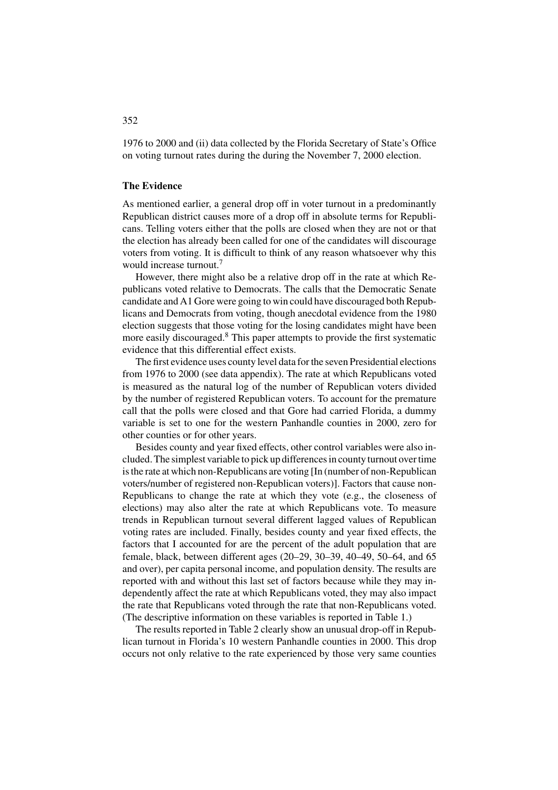1976 to 2000 and (ii) data collected by the Florida Secretary of State's Office on voting turnout rates during the during the November 7, 2000 election.

# **The Evidence**

As mentioned earlier, a general drop off in voter turnout in a predominantly Republican district causes more of a drop off in absolute terms for Republicans. Telling voters either that the polls are closed when they are not or that the election has already been called for one of the candidates will discourage voters from voting. It is difficult to think of any reason whatsoever why this would increase turnout.<sup>7</sup>

However, there might also be a relative drop off in the rate at which Republicans voted relative to Democrats. The calls that the Democratic Senate candidate and A1 Gore were going to win could have discouraged both Republicans and Democrats from voting, though anecdotal evidence from the 1980 election suggests that those voting for the losing candidates might have been more easily discouraged.<sup>8</sup> This paper attempts to provide the first systematic evidence that this differential effect exists.

The first evidence uses county level data for the seven Presidential elections from 1976 to 2000 (see data appendix). The rate at which Republicans voted is measured as the natural log of the number of Republican voters divided by the number of registered Republican voters. To account for the premature call that the polls were closed and that Gore had carried Florida, a dummy variable is set to one for the western Panhandle counties in 2000, zero for other counties or for other years.

Besides county and year fixed effects, other control variables were also included. The simplest variable to pick up differences in county turnout over time is the rate at which non-Republicans are voting [In (number of non-Republican voters/number of registered non-Republican voters)]. Factors that cause non-Republicans to change the rate at which they vote (e.g., the closeness of elections) may also alter the rate at which Republicans vote. To measure trends in Republican turnout several different lagged values of Republican voting rates are included. Finally, besides county and year fixed effects, the factors that I accounted for are the percent of the adult population that are female, black, between different ages (20–29, 30–39, 40–49, 50–64, and 65 and over), per capita personal income, and population density. The results are reported with and without this last set of factors because while they may independently affect the rate at which Republicans voted, they may also impact the rate that Republicans voted through the rate that non-Republicans voted. (The descriptive information on these variables is reported in Table 1.)

The results reported in Table 2 clearly show an unusual drop-off in Republican turnout in Florida's 10 western Panhandle counties in 2000. This drop occurs not only relative to the rate experienced by those very same counties

# 352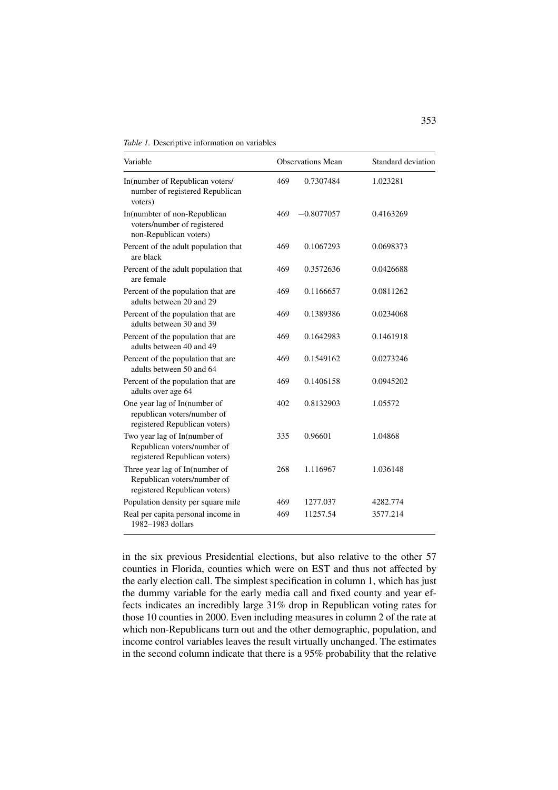*Table 1.* Descriptive information on variables

| Variable                                                                                       |     | <b>Observations Mean</b> | Standard deviation |  |
|------------------------------------------------------------------------------------------------|-----|--------------------------|--------------------|--|
| In(number of Republican voters/<br>number of registered Republican<br>voters)                  | 469 | 0.7307484                | 1.023281           |  |
| In(numbter of non-Republican<br>voters/number of registered<br>non-Republican voters)          | 469 | $-0.8077057$             | 0.4163269          |  |
| Percent of the adult population that<br>are black                                              | 469 | 0.1067293                | 0.0698373          |  |
| Percent of the adult population that<br>are female                                             | 469 | 0.3572636                | 0.0426688          |  |
| Percent of the population that are<br>adults between 20 and 29                                 | 469 | 0.1166657                | 0.0811262          |  |
| Percent of the population that are<br>adults between 30 and 39                                 | 469 | 0.1389386                | 0.0234068          |  |
| Percent of the population that are<br>adults between 40 and 49                                 | 469 | 0.1642983                | 0.1461918          |  |
| Percent of the population that are<br>adults between 50 and 64                                 | 469 | 0.1549162                | 0.0273246          |  |
| Percent of the population that are<br>adults over age 64                                       | 469 | 0.1406158                | 0.0945202          |  |
| One year lag of In(number of<br>republican voters/number of<br>registered Republican voters)   | 402 | 0.8132903                | 1.05572            |  |
| Two year lag of In(number of<br>Republican voters/number of<br>registered Republican voters)   | 335 | 0.96601                  | 1.04868            |  |
| Three year lag of In(number of<br>Republican voters/number of<br>registered Republican voters) | 268 | 1.116967                 | 1.036148           |  |
| Population density per square mile                                                             | 469 | 1277.037                 | 4282.774           |  |
| Real per capita personal income in<br>1982-1983 dollars                                        | 469 | 11257.54                 | 3577.214           |  |

in the six previous Presidential elections, but also relative to the other 57 counties in Florida, counties which were on EST and thus not affected by the early election call. The simplest specification in column 1, which has just the dummy variable for the early media call and fixed county and year effects indicates an incredibly large 31% drop in Republican voting rates for those 10 counties in 2000. Even including measures in column 2 of the rate at which non-Republicans turn out and the other demographic, population, and income control variables leaves the result virtually unchanged. The estimates in the second column indicate that there is a 95% probability that the relative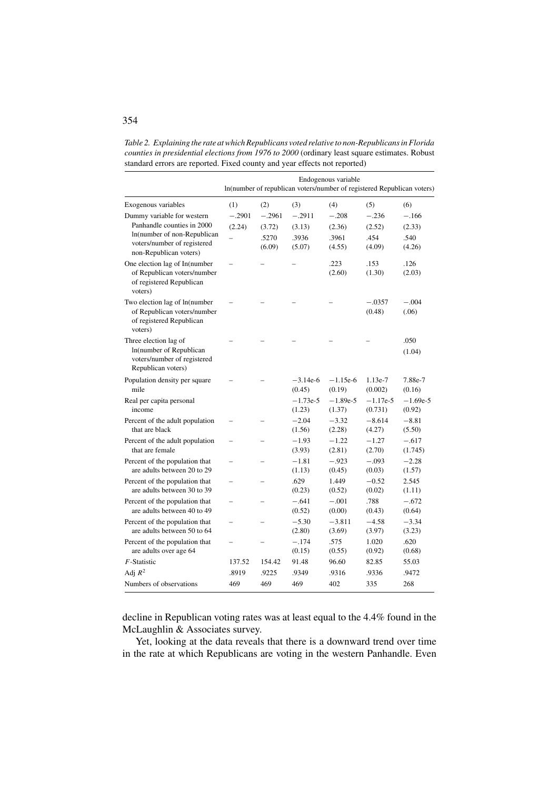*Table 2. Explaining the rate at which Republicans voted relative to non-Republicans in Florida counties in presidential elections from 1976 to 2000* (ordinary least square estimates. Robust standard errors are reported. Fixed county and year effects not reported)

|                                                                                                       |                          |          | In(number of republican voters/number of registered Republican voters) | Endogenous variable  |                       |                      |
|-------------------------------------------------------------------------------------------------------|--------------------------|----------|------------------------------------------------------------------------|----------------------|-----------------------|----------------------|
| Exogenous variables                                                                                   | (1)                      | (2)      | (3)                                                                    | (4)                  | (5)                   | (6)                  |
| Dummy variable for western                                                                            | $-.2901$                 | $-.2961$ | $-.2911$                                                               | $-.208$              | $-.236$               | $-.166$              |
| Panhandle counties in 2000                                                                            | (2.24)                   | (3.72)   | (3.13)                                                                 | (2.36)               | (2.52)                | (2.33)               |
| In(number of non-Republican                                                                           |                          | .5270    | .3936                                                                  | .3961                | .454                  | .540                 |
| voters/number of registered<br>non-Republican voters)                                                 |                          | (6.09)   | (5.07)                                                                 | (4.55)               | (4.09)                | (4.26)               |
| One election lag of In(number<br>of Republican voters/number<br>of registered Republican<br>voters)   |                          |          |                                                                        | .223<br>(2.60)       | .153<br>(1.30)        | .126<br>(2.03)       |
| Two election lag of ln(number<br>of Republican voters/number<br>of registered Republican<br>voters)   |                          |          |                                                                        |                      | $-.0357$<br>(0.48)    | $-.004$<br>(.06)     |
| Three election lag of<br>In(number of Republican<br>voters/number of registered<br>Republican voters) |                          |          |                                                                        |                      |                       | .050<br>(1.04)       |
| Population density per square<br>mile                                                                 |                          |          | $-3.14e-6$<br>(0.45)                                                   | $-1.15e-6$<br>(0.19) | 1.13e-7<br>(0.002)    | 7.88e-7<br>(0.16)    |
| Real per capita personal<br>income                                                                    |                          |          | $-1.73e-5$<br>(1.23)                                                   | $-1.89e-5$<br>(1.37) | $-1.17e-5$<br>(0.731) | $-1.69e-5$<br>(0.92) |
| Percent of the adult population<br>that are black                                                     |                          |          | $-2.04$<br>(1.56)                                                      | $-3.32$<br>(2.28)    | $-8.614$<br>(4.27)    | $-8.81$<br>(5.50)    |
| Percent of the adult population<br>that are female                                                    | $\overline{\phantom{0}}$ |          | $-1.93$<br>(3.93)                                                      | $-1.22$<br>(2.81)    | $-1.27$<br>(2.70)     | $-.617$<br>(1.745)   |
| Percent of the population that<br>are adults between 20 to 29                                         | $\overline{a}$           |          | $-1.81$<br>(1.13)                                                      | $-.923$<br>(0.45)    | $-.093$<br>(0.03)     | $-2.28$<br>(1.57)    |
| Percent of the population that<br>are adults between 30 to 39                                         | $\overline{ }$           |          | .629<br>(0.23)                                                         | 1.449<br>(0.52)      | $-0.52$<br>(0.02)     | 2.545<br>(1.11)      |
| Percent of the population that<br>are adults between 40 to 49                                         |                          |          | $-.641$<br>(0.52)                                                      | $-.001$<br>(0.00)    | .788<br>(0.43)        | $-.672$<br>(0.64)    |
| Percent of the population that<br>are adults between 50 to 64                                         | $\overline{\phantom{0}}$ |          | $-5.30$<br>(2.80)                                                      | $-3.811$<br>(3.69)   | $-4.58$<br>(3.97)     | $-3.34$<br>(3.23)    |
| Percent of the population that<br>are adults over age 64                                              |                          |          | $-.174$<br>(0.15)                                                      | .575<br>(0.55)       | 1.020<br>(0.92)       | .620<br>(0.68)       |
| $F$ -Statistic                                                                                        | 137.52                   | 154.42   | 91.48                                                                  | 96.60                | 82.85                 | 55.03                |
| Adj $R^2$                                                                                             | .8919                    | .9225    | .9349                                                                  | .9316                | .9336                 | .9472                |
| Numbers of observations                                                                               | 469                      | 469      | 469                                                                    | 402                  | 335                   | 268                  |

decline in Republican voting rates was at least equal to the 4.4% found in the McLaughlin & Associates survey.

Yet, looking at the data reveals that there is a downward trend over time in the rate at which Republicans are voting in the western Panhandle. Even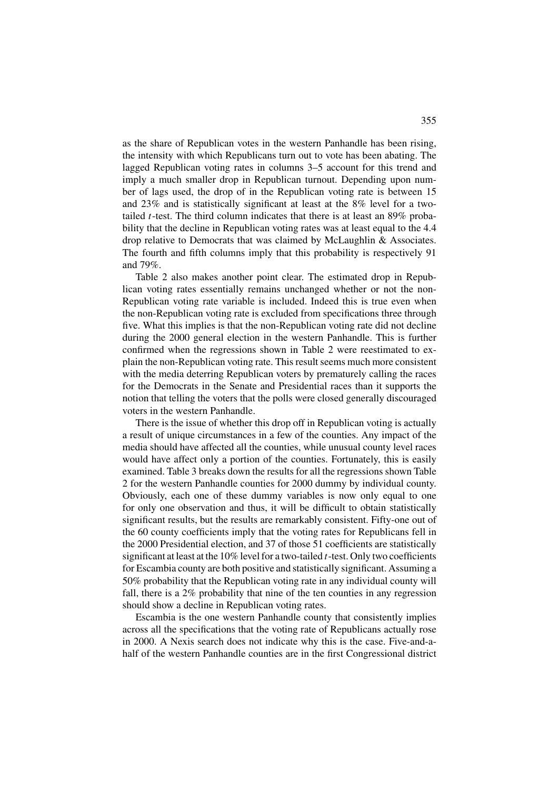as the share of Republican votes in the western Panhandle has been rising, the intensity with which Republicans turn out to vote has been abating. The lagged Republican voting rates in columns 3–5 account for this trend and imply a much smaller drop in Republican turnout. Depending upon number of lags used, the drop of in the Republican voting rate is between 15 and 23% and is statistically significant at least at the 8% level for a twotailed *t*-test. The third column indicates that there is at least an 89% probability that the decline in Republican voting rates was at least equal to the 4.4 drop relative to Democrats that was claimed by McLaughlin & Associates. The fourth and fifth columns imply that this probability is respectively 91 and 79%.

Table 2 also makes another point clear. The estimated drop in Republican voting rates essentially remains unchanged whether or not the non-Republican voting rate variable is included. Indeed this is true even when the non-Republican voting rate is excluded from specifications three through five. What this implies is that the non-Republican voting rate did not decline during the 2000 general election in the western Panhandle. This is further confirmed when the regressions shown in Table 2 were reestimated to explain the non-Republican voting rate. This result seems much more consistent with the media deterring Republican voters by prematurely calling the races for the Democrats in the Senate and Presidential races than it supports the notion that telling the voters that the polls were closed generally discouraged voters in the western Panhandle.

There is the issue of whether this drop off in Republican voting is actually a result of unique circumstances in a few of the counties. Any impact of the media should have affected all the counties, while unusual county level races would have affect only a portion of the counties. Fortunately, this is easily examined. Table 3 breaks down the results for all the regressions shown Table 2 for the western Panhandle counties for 2000 dummy by individual county. Obviously, each one of these dummy variables is now only equal to one for only one observation and thus, it will be difficult to obtain statistically significant results, but the results are remarkably consistent. Fifty-one out of the 60 county coefficients imply that the voting rates for Republicans fell in the 2000 Presidential election, and 37 of those 51 coefficients are statistically significant at least at the 10% level for a two-tailed *t*-test. Only two coefficients for Escambia county are both positive and statistically significant. Assuming a 50% probability that the Republican voting rate in any individual county will fall, there is a 2% probability that nine of the ten counties in any regression should show a decline in Republican voting rates.

Escambia is the one western Panhandle county that consistently implies across all the specifications that the voting rate of Republicans actually rose in 2000. A Nexis search does not indicate why this is the case. Five-and-ahalf of the western Panhandle counties are in the first Congressional district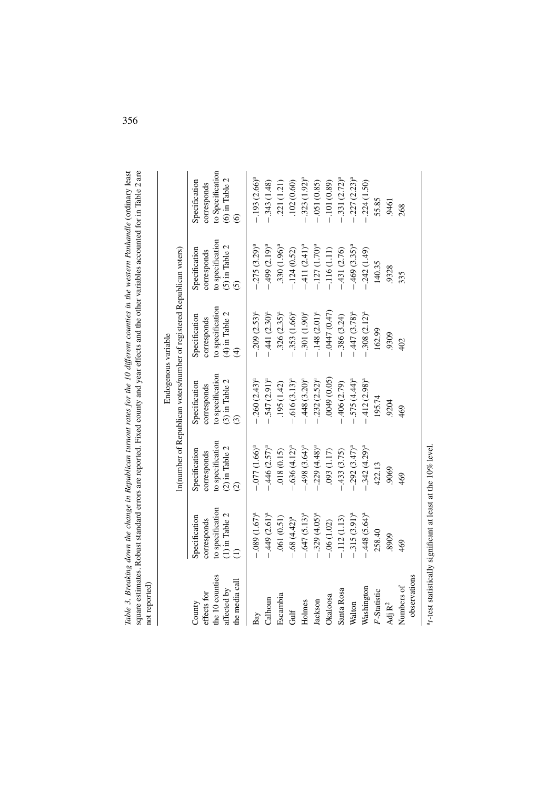| --------<br>.<br>.<br>j<br>こうしょう ちゅう<br>si sin<br>i<br>Substitute a<br>$\sum_{i=1}^{n}$<br>i<br>וים ביים א<br>i<br>C<br>crimation Documen |
|-------------------------------------------------------------------------------------------------------------------------------------------|
|                                                                                                                                           |

|                                |                                      |                                    | Endogenous variable                |                                                                        |                                      |                                      |
|--------------------------------|--------------------------------------|------------------------------------|------------------------------------|------------------------------------------------------------------------|--------------------------------------|--------------------------------------|
|                                |                                      |                                    |                                    | In(number of Republican voters/number of registered Republican voters) |                                      |                                      |
| effects for<br>County          | Specification<br>corresponds         | Specification<br>corresponds       | Specification<br>corresponds       | Specification<br>corresponds                                           | Specification<br>corresponds         | Specification<br>corresponds         |
| the 10 counties<br>affected by | to specification<br>$(1)$ in Table 2 | to specification<br>(2) in Table 2 | to specification<br>(3) in Table 2 | to specification<br>(4) in Table 2                                     | to specification<br>$(5)$ in Table 2 | to Specification<br>$(6)$ in Table 2 |
| the media call                 |                                      |                                    | ධ                                  |                                                                        | $\widehat{c}$                        | $\widehat{\circ}$                    |
| Bay                            | $-089$ $(1.67)^a$                    | $-077(1.66)^a$                     | $.260(2.43)^a$                     | $-0.209$ $(2.53)^a$                                                    | $.275(3.29)^a$                       | $-.193(2.66)a$                       |
| Calhoun                        | $449(2.61)^a$                        | .446(2.57) <sup>a</sup>            | $-.547(2.91)a$                     | $-.441(2.30)a$                                                         | $(2.19)^a$                           | $-.343(1.48)$                        |
| Escambia                       | .061(0.51)                           | .018(0.15)                         | .195(1.42)                         | $.326 (2.35)^{a}$                                                      | $.330(1.96)^{a}$                     | .221(1.21)                           |
| Gulf                           | $-68(4.42)^a$                        | $.636(4.12)^a$                     | $.616(3.13)^{a}$                   | $-.353(1.66)a$                                                         | $-124(0.52)$                         | .102(0.60)                           |
| Holmes                         | $-.647(5.13)a$                       | $-498$ (3.64) <sup>a</sup>         | $.448(3.20)^a$                     | $-.301(1.90)a$                                                         | $-.411(2.41)a$                       | $-.323(1.92)^{a}$                    |
| Jackson                        | $-.329(4.05)a$                       | $-0.229(4.48)^a$                   | $-.232(2.52)a$                     | $-.148(2.01)a$                                                         | $-127(1.70)^a$                       | $-0.051(0.85)$                       |
| Okaloosa                       | .06(1.02)                            | $(1.17)$ 60.                       | (0.05)                             | $-0447(0.47)$                                                          | $-116(1.11)$                         | $-101(0.89)$                         |
| Santa Rosa                     | $-.112(1.13)$                        | 433 (3.75)                         | .406 (2.79)                        | $-.386(3.24)$                                                          | $-431(2.76)$                         | $-.331(2.72)^{a}$                    |
| Walton                         | $-.315(3.91)a$                       | $.292(3.47)^a$                     | $-575(4.44)^a$                     | $-.447(3.78)a$                                                         | $469(3.35)^a$                        | $-.227(2.23)^a$                      |
| Washington                     | .448 $(5.64)^a$                      | $.342(4.29)^a$                     | $.412(2.98)^a$                     | $-.308(2.12)a$                                                         | $-242(1.49)$                         | $-224(1.50)$                         |
| F-Statistic                    | 258.40                               | 422.13                             | 195.74                             | 162.99                                                                 | 140.35                               | 55.85                                |
| $\text{Adj}\,\mathbf{R}^2$     | 8909                                 | 9069                               | 9204                               | 9309                                                                   | 9328                                 | 9461                                 |
| Numbers of                     | 469                                  | 469                                | 469                                | 402                                                                    | 335                                  | 268                                  |
| observations                   |                                      |                                    |                                    |                                                                        |                                      |                                      |

a*t*-test statistically significant at least at the 10% level.

 $^{\rm a}t$  -test statistically significant at least at the 10% level.

356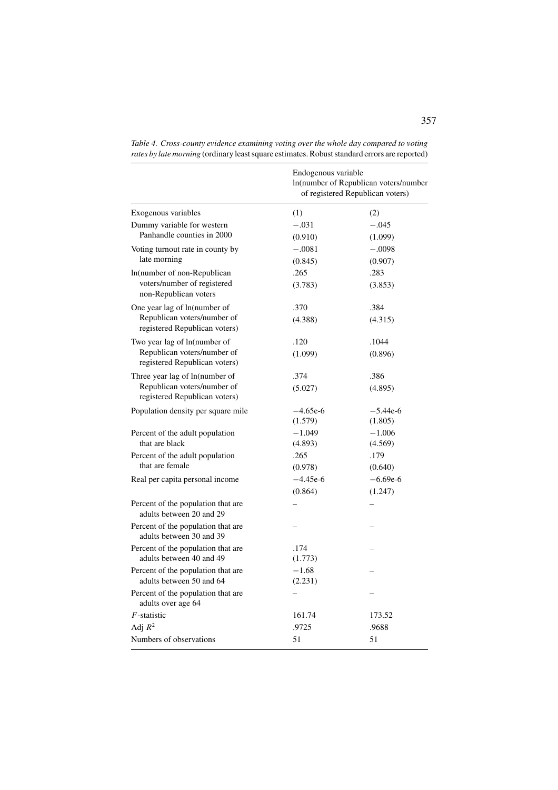|                                                                | Endogenous variable<br>In(number of Republican voters/number<br>of registered Republican voters) |                       |  |
|----------------------------------------------------------------|--------------------------------------------------------------------------------------------------|-----------------------|--|
| Exogenous variables                                            | (1)                                                                                              | (2)                   |  |
| Dummy variable for western                                     | $-.031$                                                                                          | $-.045$               |  |
| Panhandle counties in 2000                                     | (0.910)                                                                                          | (1.099)               |  |
| Voting turnout rate in county by                               | $-.0081$                                                                                         | $-.0098$              |  |
| late morning                                                   | (0.845)                                                                                          | (0.907)               |  |
| In(number of non-Republican                                    | .265                                                                                             | .283                  |  |
| voters/number of registered<br>non-Republican voters           | (3.783)                                                                                          | (3.853)               |  |
| One year lag of ln(number of                                   | .370                                                                                             | .384                  |  |
| Republican voters/number of<br>registered Republican voters)   | (4.388)                                                                                          | (4.315)               |  |
| Two year lag of ln(number of                                   | .120                                                                                             | .1044                 |  |
| Republican voters/number of<br>registered Republican voters)   | (1.099)                                                                                          | (0.896)               |  |
| Three year lag of ln(number of                                 | .374                                                                                             | .386                  |  |
| Republican voters/number of<br>registered Republican voters)   | (5.027)                                                                                          | (4.895)               |  |
| Population density per square mile                             | $-4.65e-6$<br>(1.579)                                                                            | $-5.44e-6$<br>(1.805) |  |
| Percent of the adult population                                | $-1.049$                                                                                         | $-1.006$              |  |
| that are black                                                 | (4.893)                                                                                          | (4.569)               |  |
| Percent of the adult population                                | .265                                                                                             | .179                  |  |
| that are female                                                | (0.978)                                                                                          | (0.640)               |  |
| Real per capita personal income                                | $-4.45e-6$                                                                                       | $-6.69e-6$            |  |
|                                                                | (0.864)                                                                                          | (1.247)               |  |
| Percent of the population that are<br>adults between 20 and 29 |                                                                                                  |                       |  |
| Percent of the population that are<br>adults between 30 and 39 |                                                                                                  |                       |  |
| Percent of the population that are<br>adults between 40 and 49 | .174<br>(1.773)                                                                                  |                       |  |
| Percent of the population that are<br>adults between 50 and 64 | $-1.68$<br>(2.231)                                                                               |                       |  |
| Percent of the population that are<br>adults over age 64       |                                                                                                  |                       |  |
| $F$ -statistic                                                 | 161.74                                                                                           | 173.52                |  |
| Adj $R^2$                                                      | .9725                                                                                            | .9688                 |  |
| Numbers of observations                                        | 51                                                                                               | 51                    |  |
|                                                                |                                                                                                  |                       |  |

*Table 4. Cross-county evidence examining voting over the whole day compared to voting rates by late morning* (ordinary least square estimates. Robust standard errors are reported)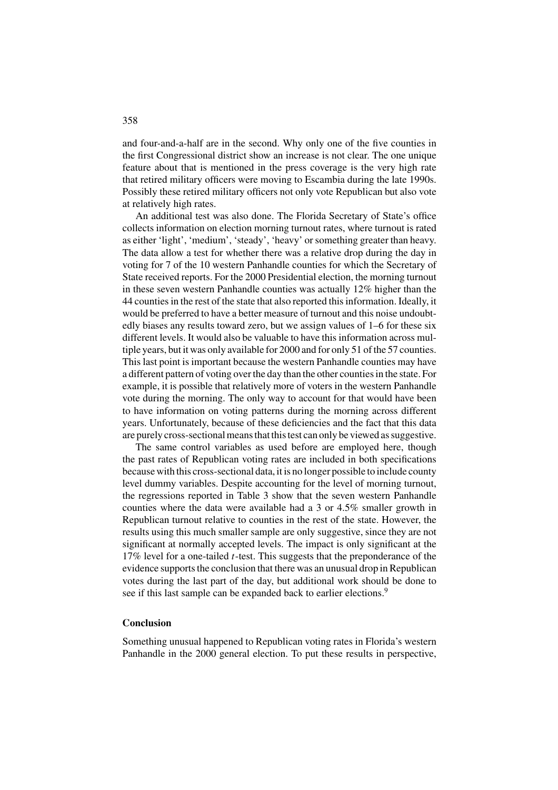and four-and-a-half are in the second. Why only one of the five counties in the first Congressional district show an increase is not clear. The one unique feature about that is mentioned in the press coverage is the very high rate that retired military officers were moving to Escambia during the late 1990s. Possibly these retired military officers not only vote Republican but also vote at relatively high rates.

An additional test was also done. The Florida Secretary of State's office collects information on election morning turnout rates, where turnout is rated as either 'light', 'medium', 'steady', 'heavy' or something greater than heavy. The data allow a test for whether there was a relative drop during the day in voting for 7 of the 10 western Panhandle counties for which the Secretary of State received reports. For the 2000 Presidential election, the morning turnout in these seven western Panhandle counties was actually 12% higher than the 44 counties in the rest of the state that also reported this information. Ideally, it would be preferred to have a better measure of turnout and this noise undoubtedly biases any results toward zero, but we assign values of 1–6 for these six different levels. It would also be valuable to have this information across multiple years, but it was only available for 2000 and for only 51 of the 57 counties. This last point is important because the western Panhandle counties may have a different pattern of voting over the day than the other counties in the state. For example, it is possible that relatively more of voters in the western Panhandle vote during the morning. The only way to account for that would have been to have information on voting patterns during the morning across different years. Unfortunately, because of these deficiencies and the fact that this data are purely cross-sectional means that this test can only be viewed as suggestive.

The same control variables as used before are employed here, though the past rates of Republican voting rates are included in both specifications because with this cross-sectional data, it is no longer possible to include county level dummy variables. Despite accounting for the level of morning turnout, the regressions reported in Table 3 show that the seven western Panhandle counties where the data were available had a 3 or 4.5% smaller growth in Republican turnout relative to counties in the rest of the state. However, the results using this much smaller sample are only suggestive, since they are not significant at normally accepted levels. The impact is only significant at the 17% level for a one-tailed *t*-test. This suggests that the preponderance of the evidence supports the conclusion that there was an unusual drop in Republican votes during the last part of the day, but additional work should be done to see if this last sample can be expanded back to earlier elections.<sup>9</sup>

# **Conclusion**

Something unusual happened to Republican voting rates in Florida's western Panhandle in the 2000 general election. To put these results in perspective,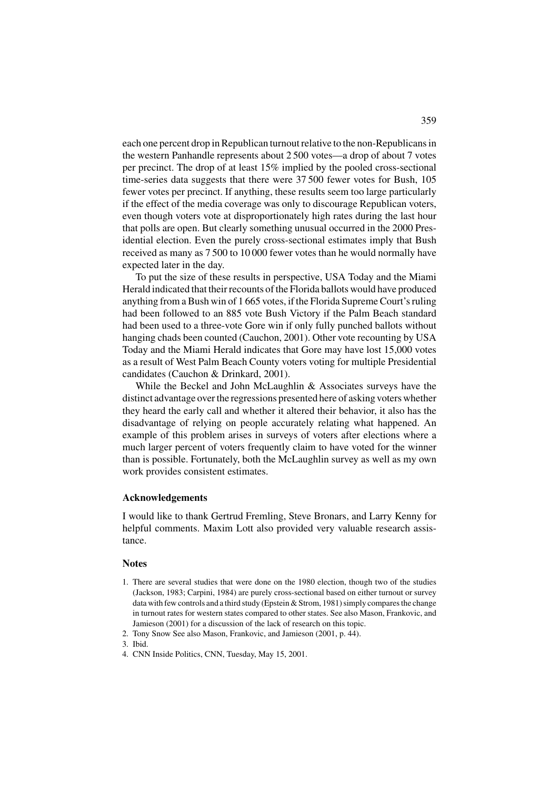each one percent drop in Republican turnout relative to the non-Republicans in the western Panhandle represents about 2 500 votes—a drop of about 7 votes per precinct. The drop of at least 15% implied by the pooled cross-sectional time-series data suggests that there were 37 500 fewer votes for Bush, 105 fewer votes per precinct. If anything, these results seem too large particularly if the effect of the media coverage was only to discourage Republican voters, even though voters vote at disproportionately high rates during the last hour that polls are open. But clearly something unusual occurred in the 2000 Presidential election. Even the purely cross-sectional estimates imply that Bush received as many as 7 500 to 10 000 fewer votes than he would normally have expected later in the day.

To put the size of these results in perspective, USA Today and the Miami Herald indicated that their recounts of the Florida ballots would have produced anything from a Bush win of 1 665 votes, if the Florida Supreme Court's ruling had been followed to an 885 vote Bush Victory if the Palm Beach standard had been used to a three-vote Gore win if only fully punched ballots without hanging chads been counted (Cauchon, 2001). Other vote recounting by USA Today and the Miami Herald indicates that Gore may have lost 15,000 votes as a result of West Palm Beach County voters voting for multiple Presidential candidates (Cauchon & Drinkard, 2001).

While the Beckel and John McLaughlin & Associates surveys have the distinct advantage over the regressions presented here of asking voters whether they heard the early call and whether it altered their behavior, it also has the disadvantage of relying on people accurately relating what happened. An example of this problem arises in surveys of voters after elections where a much larger percent of voters frequently claim to have voted for the winner than is possible. Fortunately, both the McLaughlin survey as well as my own work provides consistent estimates.

# **Acknowledgements**

I would like to thank Gertrud Fremling, Steve Bronars, and Larry Kenny for helpful comments. Maxim Lott also provided very valuable research assistance.

#### **Notes**

- 1. There are several studies that were done on the 1980 election, though two of the studies (Jackson, 1983; Carpini, 1984) are purely cross-sectional based on either turnout or survey data with few controls and a third study (Epstein & Strom, 1981) simply compares the change in turnout rates for western states compared to other states. See also Mason, Frankovic, and Jamieson (2001) for a discussion of the lack of research on this topic.
- 2. Tony Snow See also Mason, Frankovic, and Jamieson (2001, p. 44).
- 3. Ibid.
- 4. CNN Inside Politics, CNN, Tuesday, May 15, 2001.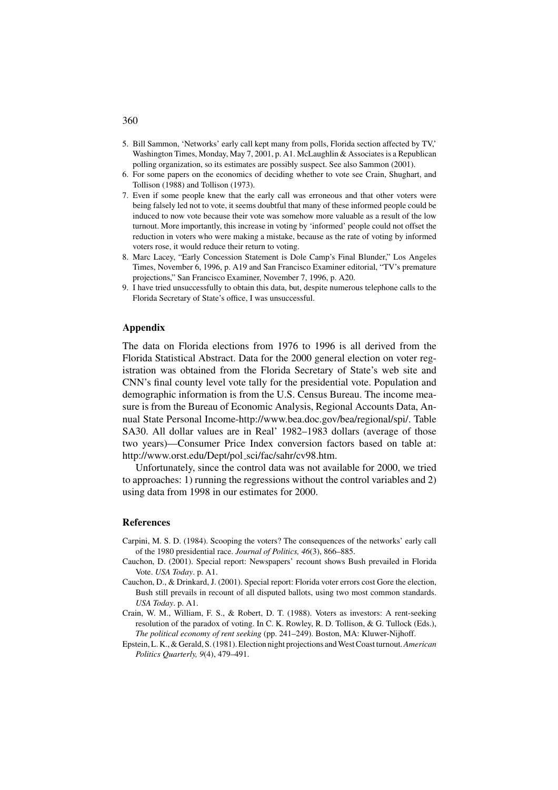- 5. Bill Sammon, 'Networks' early call kept many from polls, Florida section affected by TV,' Washington Times, Monday, May 7, 2001, p. A1. McLaughlin & Associates is a Republican polling organization, so its estimates are possibly suspect. See also Sammon (2001).
- 6. For some papers on the economics of deciding whether to vote see Crain, Shughart, and Tollison (1988) and Tollison (1973).
- 7. Even if some people knew that the early call was erroneous and that other voters were being falsely led not to vote, it seems doubtful that many of these informed people could be induced to now vote because their vote was somehow more valuable as a result of the low turnout. More importantly, this increase in voting by 'informed' people could not offset the reduction in voters who were making a mistake, because as the rate of voting by informed voters rose, it would reduce their return to voting.
- 8. Marc Lacey, "Early Concession Statement is Dole Camp's Final Blunder," Los Angeles Times, November 6, 1996, p. A19 and San Francisco Examiner editorial, "TV's premature projections," San Francisco Examiner, November 7, 1996, p. A20.
- 9. I have tried unsuccessfully to obtain this data, but, despite numerous telephone calls to the Florida Secretary of State's office, I was unsuccessful.

# **Appendix**

The data on Florida elections from 1976 to 1996 is all derived from the Florida Statistical Abstract. Data for the 2000 general election on voter registration was obtained from the Florida Secretary of State's web site and CNN's final county level vote tally for the presidential vote. Population and demographic information is from the U.S. Census Bureau. The income measure is from the Bureau of Economic Analysis, Regional Accounts Data, Annual State Personal Income-http://www.bea.doc.gov/bea/regional/spi/. Table SA30. All dollar values are in Real' 1982–1983 dollars (average of those two years)—Consumer Price Index conversion factors based on table at: http://www.orst.edu/Dept/pol sci/fac/sahr/cv98.htm.

Unfortunately, since the control data was not available for 2000, we tried to approaches: 1) running the regressions without the control variables and 2) using data from 1998 in our estimates for 2000.

### **References**

- Carpini, M. S. D. (1984). Scooping the voters? The consequences of the networks' early call of the 1980 presidential race. *Journal of Politics, 46*(3), 866–885.
- Cauchon, D. (2001). Special report: Newspapers' recount shows Bush prevailed in Florida Vote. *USA Today*. p. A1.
- Cauchon, D., & Drinkard, J. (2001). Special report: Florida voter errors cost Gore the election, Bush still prevails in recount of all disputed ballots, using two most common standards. *USA Today*. p. A1.
- Crain, W. M., William, F. S., & Robert, D. T. (1988). Voters as investors: A rent-seeking resolution of the paradox of voting. In C. K. Rowley, R. D. Tollison, & G. Tullock (Eds.), *The political economy of rent seeking* (pp. 241–249). Boston, MA: Kluwer-Nijhoff.
- Epstein, L. K., & Gerald, S. (1981). Election night projections and West Coast turnout.*American Politics Quarterly, 9*(4), 479–491.

# 360